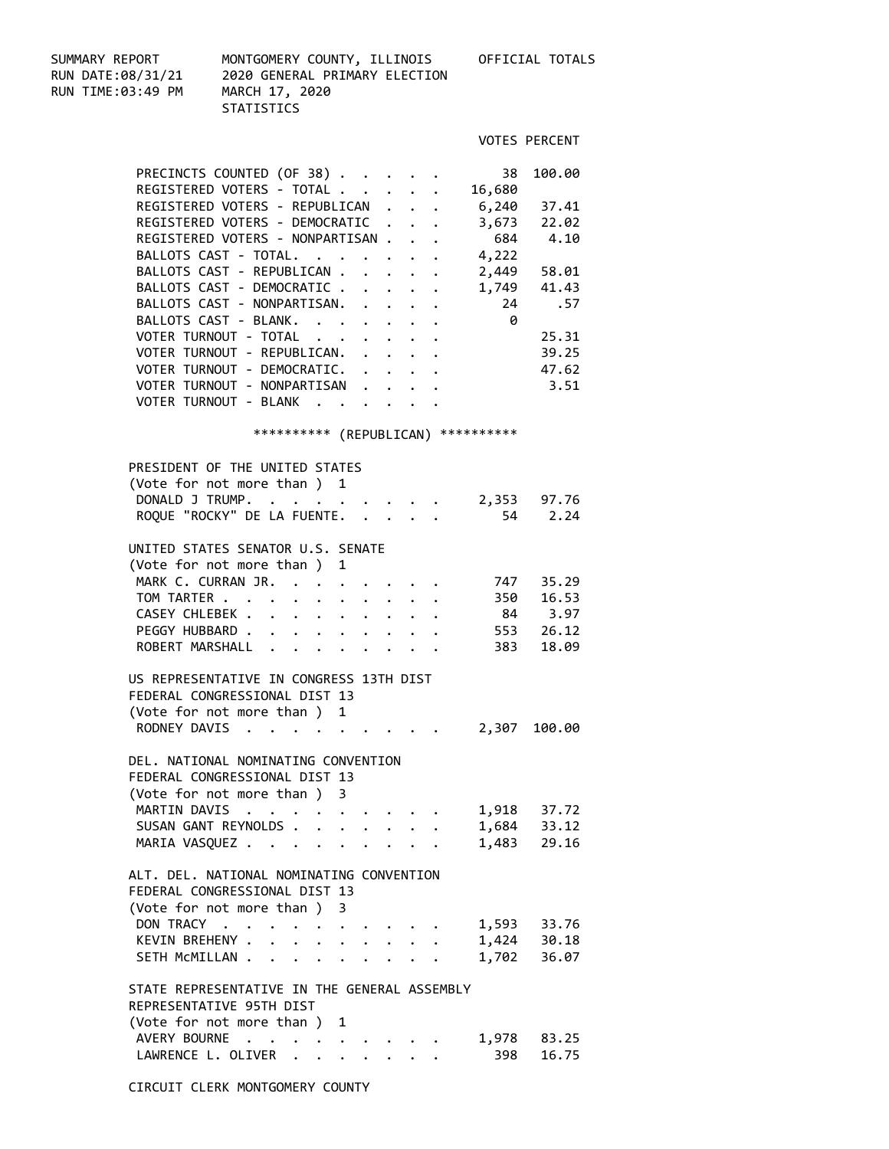SUMMARY REPORT MONTGOMERY COUNTY, ILLINOIS OFFICIAL TOTALS RUN TIME:03:49 PM MARCH 17, 2020

RUN DATE:08/31/21 2020 GENERAL PRIMARY ELECTION **STATISTICS** 

| ______ | <b>VOTES PERCENT</b> |
|--------|----------------------|
|        |                      |

|  | PRECINCTS COUNTED (OF 38)        |  |          |  |                                                     | 38     | 100.00      |
|--|----------------------------------|--|----------|--|-----------------------------------------------------|--------|-------------|
|  | REGISTERED VOTERS - TOTAL        |  |          |  |                                                     | 16,680 |             |
|  | REGISTERED VOTERS - REPUBLICAN   |  |          |  |                                                     | 6,240  | 37.41       |
|  | REGISTERED VOTERS - DEMOCRATIC   |  |          |  |                                                     | 3,673  | 22.02       |
|  | REGISTERED VOTERS - NONPARTISAN. |  |          |  | $\cdot$ $\cdot$                                     |        | 684 4.10    |
|  | BALLOTS CAST - TOTAL.            |  | $\cdots$ |  |                                                     | 4,222  |             |
|  | BALLOTS CAST - REPUBLICAN        |  |          |  |                                                     | 2,449  | 58.01       |
|  | BALLOTS CAST - DEMOCRATIC        |  |          |  |                                                     |        | 1,749 41.43 |
|  | BALLOTS CAST - NONPARTISAN.      |  |          |  |                                                     | 24     | .57         |
|  | BALLOTS CAST - BLANK.            |  |          |  |                                                     | 0      |             |
|  | VOTER TURNOUT - TOTAL            |  |          |  |                                                     |        | 25.31       |
|  | VOTER TURNOUT - REPUBLICAN.      |  |          |  | $\mathbf{r} = \mathbf{r} + \mathbf{r} + \mathbf{r}$ |        | 39.25       |
|  | VOTER TURNOUT - DEMOCRATIC. .    |  |          |  | $\cdots$                                            |        | 47.62       |
|  | VOTER TURNOUT - NONPARTISAN      |  |          |  |                                                     |        | 3.51        |
|  | VOTER TURNOUT - BLANK            |  |          |  |                                                     |        |             |
|  |                                  |  |          |  |                                                     |        |             |

## \*\*\*\*\*\*\*\*\*\* (REPUBLICAN) \*\*\*\*\*\*\*\*\*\*

| PRESIDENT OF THE UNITED STATES<br>(Vote for not more than ) 1 |                         |                                                                                                                                                                                                                                       |                                        |  |       |                       |
|---------------------------------------------------------------|-------------------------|---------------------------------------------------------------------------------------------------------------------------------------------------------------------------------------------------------------------------------------|----------------------------------------|--|-------|-----------------------|
| DONALD J TRUMP.<br>ROQUE "ROCKY" DE LA FUENTE.                | $\ddot{\phantom{a}}$    | $\mathcal{L}(\mathcal{A})$ . The contract of the contract of $\mathcal{A}$                                                                                                                                                            |                                        |  | 54    | $2,353$ 97.76<br>2.24 |
| UNITED STATES SENATOR U.S. SENATE                             |                         |                                                                                                                                                                                                                                       |                                        |  |       |                       |
| (Vote for not more than ) 1                                   |                         |                                                                                                                                                                                                                                       |                                        |  |       |                       |
| MARK C. CURRAN JR.                                            |                         |                                                                                                                                                                                                                                       |                                        |  |       | 747 35.29             |
| TOM TARTER                                                    |                         |                                                                                                                                                                                                                                       |                                        |  |       | 16.53                 |
| CASEY CHLEBEK                                                 | $\sim$                  | $\bullet$ $\bullet$ $\bullet$                                                                                                                                                                                                         |                                        |  | 350   |                       |
|                                                               |                         | $\mathbf{r} = \mathbf{r} - \mathbf{r} = \mathbf{r} - \mathbf{r}$ .                                                                                                                                                                    |                                        |  |       | 84 3.97<br>553 26.12  |
| PEGGY HUBBARD                                                 |                         |                                                                                                                                                                                                                                       |                                        |  |       |                       |
| ROBERT MARSHALL                                               |                         |                                                                                                                                                                                                                                       |                                        |  | 383   | 18.09                 |
| US REPRESENTATIVE IN CONGRESS 13TH DIST                       |                         |                                                                                                                                                                                                                                       |                                        |  |       |                       |
| FEDERAL CONGRESSIONAL DIST 13                                 |                         |                                                                                                                                                                                                                                       |                                        |  |       |                       |
| (Vote for not more than ) 1                                   |                         |                                                                                                                                                                                                                                       |                                        |  |       |                       |
| RODNEY DAVIS                                                  |                         |                                                                                                                                                                                                                                       |                                        |  |       | 2,307 100.00          |
| DEL. NATIONAL NOMINATING CONVENTION                           |                         |                                                                                                                                                                                                                                       |                                        |  |       |                       |
| FEDERAL CONGRESSIONAL DIST 13                                 |                         |                                                                                                                                                                                                                                       |                                        |  |       |                       |
| (Vote for not more than) 3                                    |                         |                                                                                                                                                                                                                                       |                                        |  |       |                       |
| MARTIN DAVIS                                                  |                         |                                                                                                                                                                                                                                       |                                        |  |       | $1,918$ 37.72         |
| SUSAN GANT REYNOLDS.                                          |                         |                                                                                                                                                                                                                                       |                                        |  |       | $1,684$ 33.12         |
| MARIA VASQUEZ                                                 |                         |                                                                                                                                                                                                                                       |                                        |  | 1,483 | 29.16                 |
|                                                               |                         |                                                                                                                                                                                                                                       |                                        |  |       |                       |
| ALT. DEL. NATIONAL NOMINATING CONVENTION                      |                         |                                                                                                                                                                                                                                       |                                        |  |       |                       |
| FEDERAL CONGRESSIONAL DIST 13                                 |                         |                                                                                                                                                                                                                                       |                                        |  |       |                       |
| (Vote for not more than) 3                                    |                         |                                                                                                                                                                                                                                       |                                        |  |       |                       |
| DON TRACY                                                     |                         | $\ddot{\bullet}$ . The set of the set of the set of the set of the set of the set of the set of the set of the set of the set of the set of the set of the set of the set of the set of the set of the set of the set of the set of t |                                        |  |       | $1,593$ 33.76         |
| KEVIN BREHENY .                                               |                         | $\ddot{\phantom{a}}$<br>$\ddot{\phantom{0}}$                                                                                                                                                                                          |                                        |  |       | 1,424 30.18           |
| SETH MCMILLAN                                                 |                         |                                                                                                                                                                                                                                       |                                        |  | 1,702 | 36.07                 |
| STATE REPRESENTATIVE IN THE GENERAL ASSEMBLY                  |                         |                                                                                                                                                                                                                                       |                                        |  |       |                       |
| REPRESENTATIVE 95TH DIST                                      |                         |                                                                                                                                                                                                                                       |                                        |  |       |                       |
| (Vote for not more than ) 1                                   |                         |                                                                                                                                                                                                                                       |                                        |  |       |                       |
| AVERY BOURNE                                                  | $\cdot$ $\cdot$ $\cdot$ |                                                                                                                                                                                                                                       |                                        |  | 1,978 | 83.25                 |
| LAWRENCE L. OLIVER .                                          |                         |                                                                                                                                                                                                                                       | $\mathbf{r} = \mathbf{r} + \mathbf{r}$ |  | 398   | 16.75                 |
|                                                               |                         |                                                                                                                                                                                                                                       |                                        |  |       |                       |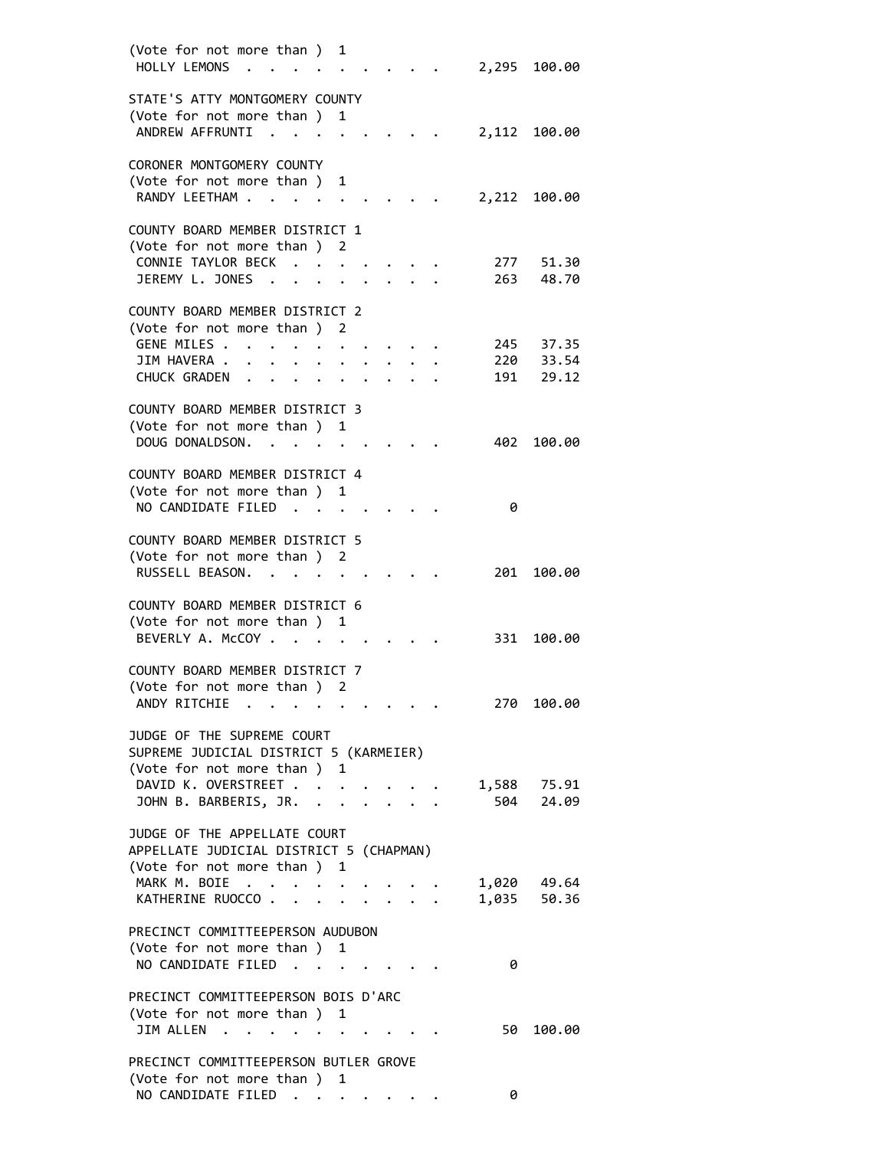| (Vote for not more than) 1<br>HOLLY LEMONS .                                                     |           |                      |                                 |                      |                | 2,295 100.00   |
|--------------------------------------------------------------------------------------------------|-----------|----------------------|---------------------------------|----------------------|----------------|----------------|
| STATE'S ATTY MONTGOMERY COUNTY<br>(Vote for not more than) 1                                     |           |                      |                                 |                      |                |                |
| ANDREW AFFRUNTI<br>$\cdot$ $\cdot$                                                               |           |                      |                                 |                      | 2,112          | 100.00         |
| CORONER MONTGOMERY COUNTY<br>(Vote for not more than )                                           |           | 1                    |                                 |                      |                |                |
| RANDY LEETHAM                                                                                    |           |                      |                                 |                      | 2,212          | 100.00         |
| COUNTY BOARD MEMBER DISTRICT 1                                                                   |           |                      |                                 |                      |                |                |
| (Vote for not more than)<br>CONNIE TAYLOR BECK                                                   |           | 2                    |                                 |                      | 277            | 51.30          |
| JEREMY L. JONES                                                                                  |           | $\bullet$            |                                 |                      | 263            | 48.70          |
| COUNTY BOARD MEMBER DISTRICT 2<br>(Vote for not more than) 2                                     |           |                      |                                 |                      |                |                |
| GENE MILES .                                                                                     |           |                      |                                 |                      | 245            | 37.35          |
| JIM HAVERA .                                                                                     |           |                      |                                 |                      | 220            | 33.54          |
| <b>CHUCK GRADEN</b><br>$\sim 100$ km s $^{-1}$<br>$\bullet$                                      | $\bullet$ |                      |                                 |                      | 191            | 29.12          |
| COUNTY BOARD MEMBER DISTRICT 3                                                                   |           |                      |                                 |                      |                |                |
| (Vote for not more than ) 1                                                                      |           |                      |                                 |                      |                |                |
| DOUG DONALDSON.                                                                                  |           |                      |                                 |                      | 402            | 100.00         |
| COUNTY BOARD MEMBER DISTRICT 4                                                                   |           |                      |                                 |                      |                |                |
| (Vote for not more than ) 1<br>NO CANDIDATE FILED                                                |           |                      |                                 |                      | 0              |                |
|                                                                                                  |           |                      |                                 |                      |                |                |
| COUNTY BOARD MEMBER DISTRICT 5                                                                   |           |                      |                                 |                      |                |                |
| (Vote for not more than ) 2<br>RUSSELL BEASON.                                                   |           |                      |                                 |                      | 201            | 100.00         |
| COUNTY BOARD MEMBER DISTRICT 6                                                                   |           |                      |                                 |                      |                |                |
| (Vote for not more than ) 1<br>BEVERLY A. McCOY                                                  |           |                      |                                 |                      | 331            | 100.00         |
| COUNTY BOARD MEMBER DISTRICT 7                                                                   |           |                      |                                 |                      |                |                |
| (Vote for not more than )                                                                        |           | 2                    |                                 |                      |                |                |
| ANDY RITCHIE                                                                                     |           |                      |                                 |                      |                | 270 100.00     |
| JUDGE OF THE SUPREME COURT                                                                       |           |                      |                                 |                      |                |                |
| SUPREME JUDICIAL DISTRICT 5 (KARMEIER)<br>(Vote for not more than ) 1                            |           |                      |                                 |                      |                |                |
| DAVID K. OVERSTREET                                                                              |           |                      |                                 |                      |                | 1,588 75.91    |
| JOHN B. BARBERIS, JR. .                                                                          |           | $\ddot{\phantom{a}}$ |                                 | $\ddot{\phantom{a}}$ | 504            | 24.09          |
| JUDGE OF THE APPELLATE COURT                                                                     |           |                      |                                 |                      |                |                |
| APPELLATE JUDICIAL DISTRICT 5 (CHAPMAN)                                                          |           |                      |                                 |                      |                |                |
| (Vote for not more than ) 1<br>MARK M. BOIE                                                      |           |                      |                                 |                      |                |                |
| KATHERINE RUOCCO                                                                                 |           |                      | $\cdot$ $\cdot$ $\cdot$ $\cdot$ |                      | 1,020<br>1,035 | 49.64<br>50.36 |
|                                                                                                  |           |                      |                                 |                      |                |                |
| PRECINCT COMMITTEEPERSON AUDUBON<br>(Vote for not more than ) 1                                  |           |                      |                                 |                      |                |                |
| NO CANDIDATE FILED                                                                               |           |                      |                                 |                      | 0              |                |
| PRECINCT COMMITTEEPERSON BOIS D'ARC                                                              |           |                      |                                 |                      |                |                |
| (Vote for not more than ) 1                                                                      |           |                      |                                 |                      |                |                |
| JIM ALLEN<br>$\sim$<br>$\mathcal{A}=\mathcal{A}=\mathcal{A}=\mathcal{A}=\mathcal{A}=\mathcal{A}$ |           |                      |                                 |                      | 50             | 100.00         |
| PRECINCT COMMITTEEPERSON BUTLER GROVE                                                            |           |                      |                                 |                      |                |                |
| (Vote for not more than )                                                                        |           | 1                    |                                 |                      |                |                |
| NO CANDIDATE FILED                                                                               |           |                      |                                 |                      | 0              |                |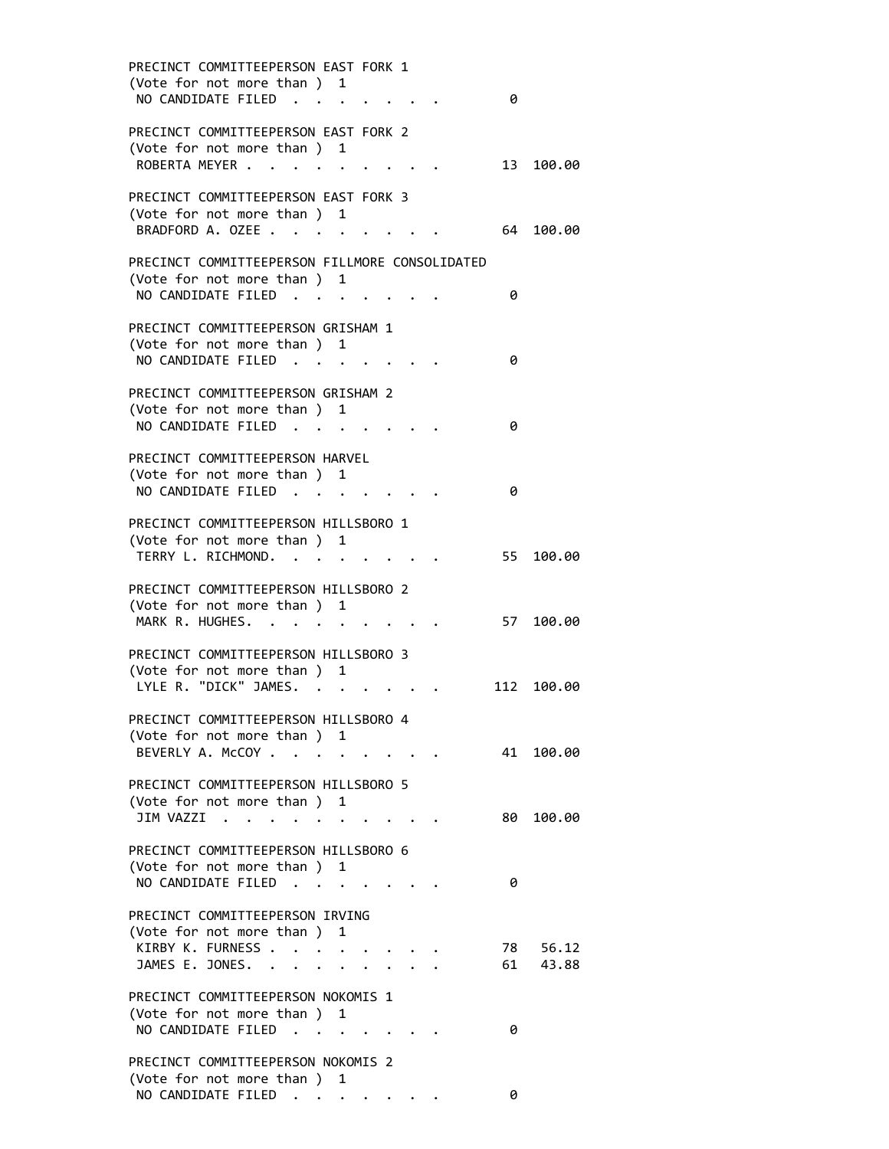| PRECINCT COMMITTEEPERSON EAST FORK 1<br>(Vote for not more than ) 1 |                      |                                                                  |  |      |           |
|---------------------------------------------------------------------|----------------------|------------------------------------------------------------------|--|------|-----------|
| NO CANDIDATE FILED                                                  |                      |                                                                  |  | 0    |           |
| PRECINCT COMMITTEEPERSON EAST FORK 2                                |                      |                                                                  |  |      |           |
| (Vote for not more than) 1<br>ROBERTA MEYER                         |                      |                                                                  |  | 13   | 100.00    |
| PRECINCT COMMITTEEPERSON EAST FORK 3                                |                      |                                                                  |  |      |           |
| (Vote for not more than ) 1<br>BRADFORD A. OZEE                     |                      |                                                                  |  | 64   | 100.00    |
| PRECINCT COMMITTEEPERSON FILLMORE CONSOLIDATED                      |                      |                                                                  |  |      |           |
| (Vote for not more than ) 1<br>NO CANDIDATE FILED                   |                      |                                                                  |  | 0    |           |
| PRECINCT COMMITTEEPERSON GRISHAM 1                                  |                      |                                                                  |  |      |           |
| (Vote for not more than ) 1                                         |                      |                                                                  |  |      |           |
| NO CANDIDATE FILED                                                  |                      |                                                                  |  | 0    |           |
| PRECINCT COMMITTEEPERSON GRISHAM 2                                  |                      |                                                                  |  |      |           |
| (Vote for not more than) 1<br>NO CANDIDATE FILED                    |                      |                                                                  |  | 0    |           |
|                                                                     | $\ddot{\phantom{0}}$ |                                                                  |  |      |           |
| PRECINCT COMMITTEEPERSON HARVEL                                     |                      |                                                                  |  |      |           |
| (Vote for not more than ) 1<br>NO CANDIDATE FILED.                  |                      |                                                                  |  | 0    |           |
|                                                                     |                      |                                                                  |  |      |           |
| PRECINCT COMMITTEEPERSON HILLSBORO 1                                |                      |                                                                  |  |      |           |
| (Vote for not more than ) 1<br>TERRY L. RICHMOND.                   |                      |                                                                  |  | 55   | 100.00    |
|                                                                     |                      |                                                                  |  |      |           |
| PRECINCT COMMITTEEPERSON HILLSBORO 2                                |                      |                                                                  |  |      |           |
| (Vote for not more than ) 1<br>MARK R. HUGHES.                      |                      |                                                                  |  | 57   | 100.00    |
| PRECINCT COMMITTEEPERSON HILLSBORO 3                                |                      |                                                                  |  |      |           |
| (Vote for not more than ) 1<br>LYLE R. "DICK" JAMES.                |                      |                                                                  |  | 112  |           |
|                                                                     |                      |                                                                  |  |      | 100.00    |
| PRECINCT COMMITTEEPERSON HILLSBORO 4                                |                      |                                                                  |  |      |           |
| (Vote for not more than ) 1<br>BEVERLY A. McCOY                     |                      |                                                                  |  |      | 41 100.00 |
|                                                                     |                      |                                                                  |  |      |           |
| PRECINCT COMMITTEEPERSON HILLSBORO 5<br>(Vote for not more than ) 1 |                      |                                                                  |  |      |           |
| JIM VAZZI                                                           |                      |                                                                  |  | 80 - | 100.00    |
|                                                                     |                      |                                                                  |  |      |           |
| PRECINCT COMMITTEEPERSON HILLSBORO 6<br>(Vote for not more than ) 1 |                      |                                                                  |  |      |           |
| NO CANDIDATE FILED.                                                 |                      |                                                                  |  | 0    |           |
| PRECINCT COMMITTEEPERSON IRVING                                     |                      |                                                                  |  |      |           |
| (Vote for not more than ) 1<br>KIRBY K. FURNESS                     |                      |                                                                  |  |      | 78 56.12  |
| JAMES E. JONES.                                                     |                      |                                                                  |  | 61   | 43.88     |
| PRECINCT COMMITTEEPERSON NOKOMIS 1                                  |                      |                                                                  |  |      |           |
| (Vote for not more than ) 1                                         |                      |                                                                  |  |      |           |
| NO CANDIDATE FILED                                                  |                      |                                                                  |  | 0    |           |
| PRECINCT COMMITTEEPERSON NOKOMIS 2                                  |                      |                                                                  |  |      |           |
| (Vote for not more than )<br>NO CANDIDATE FILED                     |                      | 1<br>$\mathbf{z} = \mathbf{z} + \mathbf{z}$ , where $\mathbf{z}$ |  | 0    |           |
|                                                                     |                      |                                                                  |  |      |           |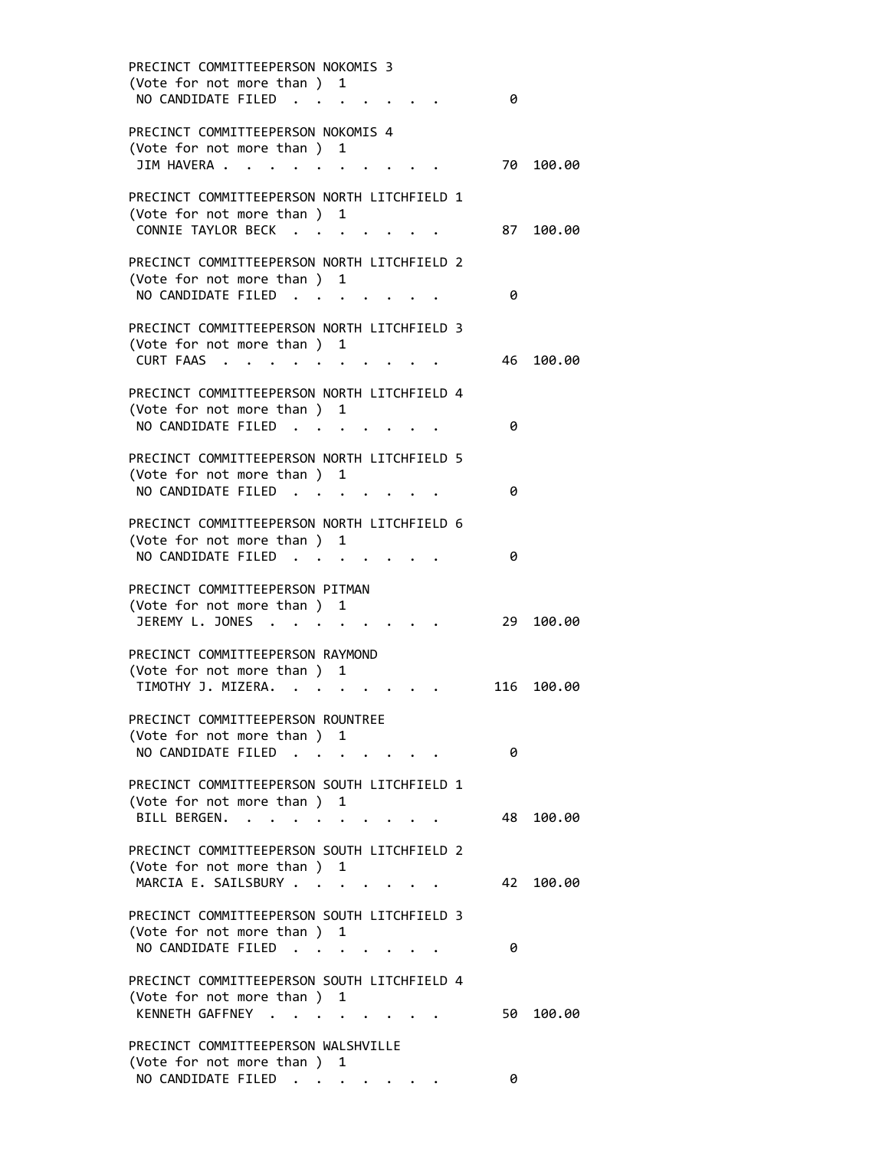| PRECINCT COMMITTEEPERSON NOKOMIS 3<br>(Vote for not more than) 1<br>NO CANDIDATE FILED.<br>$\sim$ $\sim$                                                                                                    | 0   |        |
|-------------------------------------------------------------------------------------------------------------------------------------------------------------------------------------------------------------|-----|--------|
| PRECINCT COMMITTEEPERSON NOKOMIS 4<br>(Vote for not more than)<br>1                                                                                                                                         |     |        |
| JIM HAVERA .<br>$\sim$ $\sim$<br>$\sim$ $\sim$ $\sim$ $\sim$                                                                                                                                                | 70  | 100.00 |
| PRECINCT COMMITTEEPERSON NORTH LITCHFIELD 1<br>(Vote for not more than ) 1<br>CONNIE TAYLOR BECK                                                                                                            | 87  | 100.00 |
| PRECINCT COMMITTEEPERSON NORTH LITCHFIELD 2<br>(Vote for not more than) 1<br>NO CANDIDATE FILED                                                                                                             | 0   |        |
| PRECINCT COMMITTEEPERSON NORTH LITCHFIELD 3<br>(Vote for not more than) 1<br>CURT FAAS                                                                                                                      | 46  | 100.00 |
| PRECINCT COMMITTEEPERSON NORTH LITCHFIELD 4<br>(Vote for not more than )<br>1<br>NO CANDIDATE FILED<br>$\sim$<br><b>Contract Contract Contract</b>                                                          | 0   |        |
| PRECINCT COMMITTEEPERSON NORTH LITCHFIELD 5<br>(Vote for not more than ) 1<br>NO CANDIDATE FILED                                                                                                            | 0   |        |
| PRECINCT COMMITTEEPERSON NORTH LITCHFIELD 6<br>(Vote for not more than ) 1<br>NO CANDIDATE FILED                                                                                                            | 0   |        |
| PRECINCT COMMITTEEPERSON PITMAN<br>(Vote for not more than) 1<br>JEREMY L. JONES                                                                                                                            | 29  | 100.00 |
| PRECINCT COMMITTEEPERSON RAYMOND<br>(Vote for not more than)<br>1<br>TIMOTHY J. MIZERA.<br>$\bullet$                                                                                                        | 116 | 100.00 |
| PRECINCT COMMITTEEPERSON ROUNTREE<br>(Vote for not more than) 1<br>NO CANDIDATE FILED                                                                                                                       | 0   |        |
| PRECINCT COMMITTEEPERSON SOUTH LITCHFIELD 1<br>(Vote for not more than ) 1<br>BILL BERGEN.<br>$\mathcal{A}=\mathcal{A}=\mathcal{A}=\mathcal{A}=\mathcal{A}=\mathcal{A}=\mathcal{A}=\mathcal{A}=\mathcal{A}$ | 48  | 100.00 |
| PRECINCT COMMITTEEPERSON SOUTH LITCHFIELD 2<br>(Vote for not more than) 1<br>MARCIA E. SAILSBURY                                                                                                            | 42  | 100.00 |
| PRECINCT COMMITTEEPERSON SOUTH LITCHFIELD 3<br>(Vote for not more than ) 1<br>NO CANDIDATE FILED                                                                                                            | 0   |        |
| PRECINCT COMMITTEEPERSON SOUTH LITCHFIELD 4<br>(Vote for not more than) 1<br>KENNETH GAFFNEY                                                                                                                | 50  | 100.00 |
| PRECINCT COMMITTEEPERSON WALSHVILLE<br>(Vote for not more than ) 1<br>NO CANDIDATE FILED                                                                                                                    | 0   |        |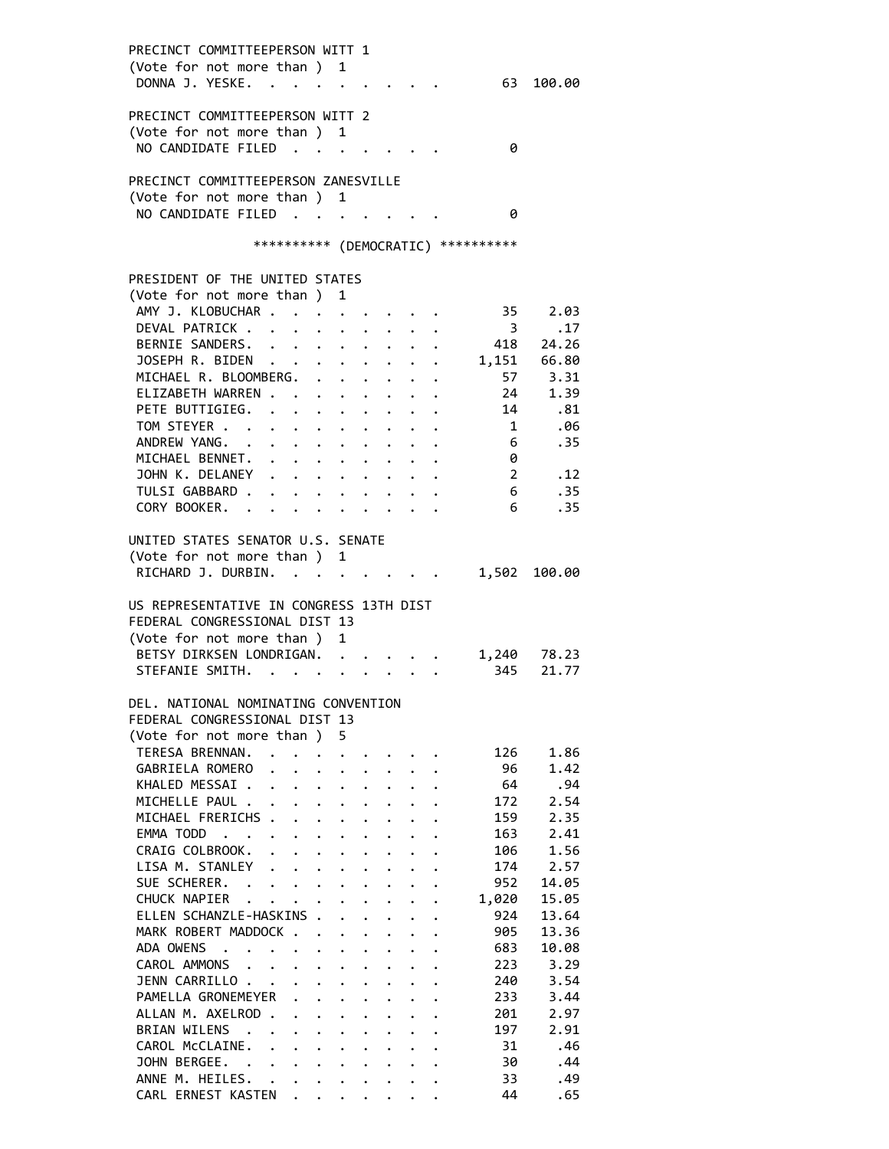| PRECINCT COMMITTEEPERSON WITT 1                                                                  |                                                                 |                                              |                      |                      |                         |                        |
|--------------------------------------------------------------------------------------------------|-----------------------------------------------------------------|----------------------------------------------|----------------------|----------------------|-------------------------|------------------------|
| (Vote for not more than ) 1                                                                      |                                                                 |                                              |                      |                      |                         |                        |
| DONNA J. YESKE.                                                                                  |                                                                 |                                              |                      |                      |                         | 63 100.00              |
|                                                                                                  |                                                                 |                                              |                      |                      |                         |                        |
| PRECINCT COMMITTEEPERSON WITT 2                                                                  |                                                                 |                                              |                      |                      |                         |                        |
| (Vote for not more than ) 1                                                                      |                                                                 |                                              |                      |                      |                         |                        |
| NO CANDIDATE FILED                                                                               |                                                                 |                                              |                      |                      | 0                       |                        |
| PRECINCT COMMITTEEPERSON ZANESVILLE                                                              |                                                                 |                                              |                      |                      |                         |                        |
| (Vote for not more than )                                                                        | 1                                                               |                                              |                      |                      |                         |                        |
| NO CANDIDATE FILED.<br><b>Contract Contract</b>                                                  |                                                                 |                                              |                      |                      | 0                       |                        |
|                                                                                                  |                                                                 |                                              |                      |                      |                         |                        |
| *********** (DEMOCRATIC) **********                                                              |                                                                 |                                              |                      |                      |                         |                        |
|                                                                                                  |                                                                 |                                              |                      |                      |                         |                        |
| PRESIDENT OF THE UNITED STATES                                                                   |                                                                 |                                              |                      |                      |                         |                        |
| (Vote for not more than)                                                                         | 1                                                               |                                              |                      |                      |                         |                        |
| AMY J. KLOBUCHAR .                                                                               |                                                                 |                                              |                      |                      | 35                      | 2.03                   |
| DEVAL PATRICK<br>$\ddot{\phantom{0}}$                                                            |                                                                 |                                              |                      |                      | $\overline{\mathbf{3}}$ | .17                    |
| BERNIE SANDERS.<br>$\bullet$ .                                                                   |                                                                 |                                              |                      |                      | 418                     | 24.26                  |
| JOSEPH R. BIDEN                                                                                  |                                                                 |                                              |                      |                      |                         | 1,151 66.80<br>57 3.31 |
| MICHAEL R. BLOOMBERG.                                                                            |                                                                 |                                              |                      |                      |                         |                        |
| ELIZABETH WARREN                                                                                 | $\mathbf{L}^{\text{max}}$                                       | $\ddot{\phantom{0}}$                         |                      |                      | 24                      | 1.39                   |
| PETE BUTTIGIEG.<br>$\cdots$                                                                      |                                                                 | $\ddot{\phantom{0}}$                         |                      | $\cdot$ 14           |                         | .81                    |
| TOM STEYER                                                                                       | $\ddot{\phantom{0}}$                                            |                                              |                      |                      | $\overline{\mathbf{1}}$ | .06                    |
| ANDREW YANG.                                                                                     |                                                                 |                                              |                      |                      | $6\overline{6}$         | .35                    |
| MICHAEL BENNET. .<br>$\bullet$ .<br><br><br><br><br><br><br><br><br><br><br><br><br><br><br><br> | $\bullet$ .<br><br><br><br><br><br><br><br><br><br><br><br><br> |                                              |                      |                      | 0                       |                        |
| JOHN K. DELANEY                                                                                  |                                                                 |                                              |                      |                      | $\overline{2}$          | .12                    |
| TULSI GABBARD .                                                                                  |                                                                 |                                              |                      |                      | $6\overline{6}$         | .35                    |
| CORY BOOKER. .                                                                                   |                                                                 |                                              |                      |                      | 6                       | .35                    |
| UNITED STATES SENATOR U.S. SENATE                                                                |                                                                 |                                              |                      |                      |                         |                        |
| (Vote for not more than )                                                                        | $\mathbf{1}$                                                    |                                              |                      |                      |                         |                        |
| RICHARD J. DURBIN.                                                                               |                                                                 |                                              |                      |                      |                         | 1,502 100.00           |
|                                                                                                  |                                                                 |                                              |                      |                      |                         |                        |
| US REPRESENTATIVE IN CONGRESS 13TH DIST                                                          |                                                                 |                                              |                      |                      |                         |                        |
| FEDERAL CONGRESSIONAL DIST 13                                                                    |                                                                 |                                              |                      |                      |                         |                        |
| (Vote for not more than )                                                                        | 1                                                               |                                              |                      |                      |                         |                        |
| BETSY DIRKSEN LONDRIGAN.                                                                         | $\ddot{\phantom{0}}$                                            |                                              |                      |                      | 1,240                   | 78.23                  |
| STEFANIE SMITH.                                                                                  |                                                                 |                                              |                      |                      | 345                     | 21.77                  |
|                                                                                                  |                                                                 |                                              |                      |                      |                         |                        |
| DEL. NATIONAL NOMINATING CONVENTION                                                              |                                                                 |                                              |                      |                      |                         |                        |
| FEDERAL CONGRESSIONAL DIST 13                                                                    |                                                                 |                                              |                      |                      |                         |                        |
| (Vote for not more than) 5                                                                       |                                                                 |                                              |                      |                      |                         |                        |
| TERESA BRENNAN.<br>$\mathbf{L}$<br>$\ddot{\phantom{0}}$                                          |                                                                 |                                              |                      |                      | 126                     | 1.86                   |
| GABRIELA ROMERO<br>$\ddot{\phantom{0}}$                                                          |                                                                 |                                              |                      |                      | 96                      | 1.42                   |
| KHALED MESSAI                                                                                    | $\ddot{\phantom{a}}$                                            | $\ddot{\phantom{0}}$<br>$\ddot{\phantom{0}}$ | $\mathbf{L}$         |                      | 64                      | .94                    |
| MICHELLE PAUL                                                                                    | $\ddot{\phantom{a}}$                                            | $\ddot{\phantom{0}}$<br>$\ddot{\phantom{0}}$ | $\mathbf{L}$         |                      | 172                     | 2.54                   |
| MICHAEL FRERICHS .<br>$\ddot{\phantom{a}}$<br>$\ddot{\phantom{0}}$                               | $\ddot{\phantom{a}}$                                            | $\ddot{\phantom{a}}$<br>$\ddot{\phantom{0}}$ | $\ddot{\phantom{0}}$ |                      | 159                     | 2.35                   |
| EMMA TODD<br>$\sim$<br>$\sim$ $\sim$ $\sim$<br>$\ddot{\phantom{0}}$<br>$\ddot{\phantom{0}}$      | $\ddot{\phantom{0}}$                                            | $\ddot{\phantom{a}}$<br>$\bullet$            | $\ddot{\phantom{0}}$ | $\ddot{\phantom{a}}$ | 163                     | 2.41                   |
| CRAIG COLBROOK.<br>$\ddot{\phantom{a}}$<br>$\ddot{\phantom{0}}$<br>$\ddot{\phantom{0}}$          | $\ddot{\phantom{0}}$                                            | $\ddot{\phantom{0}}$<br>$\ddot{\phantom{0}}$ |                      |                      | 106                     | 1.56                   |
| LISA M. STANLEY .<br>$\ddot{\phantom{a}}$<br>$\ddot{\phantom{a}}$                                |                                                                 | $\ddot{\phantom{0}}$                         |                      |                      | 174                     | 2.57                   |
| SUE SCHERER. .<br>$\ddotsc$                                                                      |                                                                 | $\ddot{\phantom{0}}$                         |                      |                      | 952                     | 14.05                  |
| CHUCK NAPIER<br>$\sim$ $\sim$<br>$\ddot{\phantom{0}}$                                            |                                                                 | $\ddot{\phantom{a}}$<br>$\ddot{\phantom{a}}$ | $\ddot{\phantom{0}}$ |                      | 1,020                   | 15.05                  |
| ELLEN SCHANZLE-HASKINS .                                                                         | $\ddot{\phantom{a}}$                                            | $\ddot{\phantom{0}}$<br>$\mathbf{L}$         | $\mathbf{L}$         | $\ddot{\phantom{a}}$ | 924                     | 13.64                  |
| MARK ROBERT MADDOCK                                                                              | $\ddot{\phantom{0}}$                                            | $\ddot{\phantom{0}}$<br>$\ddot{\phantom{0}}$ | $\mathbf{r}$         |                      | 905                     | 13.36                  |
| ADA OWENS<br>$\cdot$ $\cdot$<br>$\cdots$ $\cdots$                                                | $\ddot{\phantom{0}}$                                            | $\ddot{\phantom{0}}$<br>$\ddot{\phantom{0}}$ | $\ddot{\phantom{0}}$ |                      | 683                     | 10.08                  |
| CAROL AMMONS .<br>$\mathbf{L} = \mathbf{L}$<br>$\bullet$ .                                       | $\ddot{\phantom{0}}$                                            | $\ddot{\phantom{a}}$<br>$\bullet$            |                      | $\ddot{\phantom{a}}$ | 223                     | 3.29                   |
| JENN CARRILLO.<br>$\sim$<br>$\ddot{\phantom{0}}$<br>$\sim$ $\sim$                                | $\ddot{\phantom{0}}$                                            | $\ddot{\phantom{0}}$                         |                      |                      | 240                     | 3.54                   |
| PAMELLA GRONEMEYER<br>$\ddot{\phantom{a}}$                                                       | $\ddot{\phantom{a}}$                                            | $\ddot{\phantom{0}}$                         |                      |                      | 233                     | 3.44                   |
| ALLAN M. AXELROD .<br>$\ddot{\phantom{a}}$<br>$\ddot{\phantom{0}}$                               |                                                                 | $\ddot{\phantom{0}}$                         |                      |                      | 201                     | 2.97                   |
| <b>BRIAN WILENS</b><br>$\ddot{\phantom{0}}$<br>$\ddot{\phantom{0}}$                              |                                                                 | $\ddot{\phantom{a}}$                         | $\ddot{\phantom{0}}$ | $\ddot{\phantom{a}}$ | 197                     | 2.91                   |
| CAROL McCLAINE.<br>$\ddot{\phantom{a}}$<br>$\ddot{\phantom{1}}$                                  | $\ddot{\phantom{0}}$                                            | $\ddot{\phantom{0}}$<br>$\ddot{\phantom{0}}$ | $\mathbf{L}$         | $\ddot{\phantom{a}}$ | 31                      | .46                    |
| JOHN BERGEE.<br>$\mathbf{r}$ , $\mathbf{r}$ , $\mathbf{r}$ , $\mathbf{r}$                        | $\ddot{\phantom{a}}$                                            | $\ddot{\phantom{0}}$                         | $\ddot{\phantom{0}}$ | $\ddot{\phantom{1}}$ | 30                      | .44                    |
| ANNE M. HEILES. .<br>$\ddot{\phantom{0}}$<br>$\ddot{\phantom{0}}$                                | $\ddot{\phantom{a}}$                                            | $\ddot{\phantom{0}}$<br>$\ddot{\phantom{0}}$ | $\ddot{\phantom{0}}$ |                      | 33                      | .49                    |
| CARL ERNEST KASTEN<br>$\mathbf{L}$<br>$\ddot{\phantom{0}}$                                       | $\ddot{\phantom{0}}$                                            | $\ddot{\phantom{0}}$<br>$\ddot{\phantom{0}}$ |                      | $\ddot{\phantom{a}}$ | 44                      | .65                    |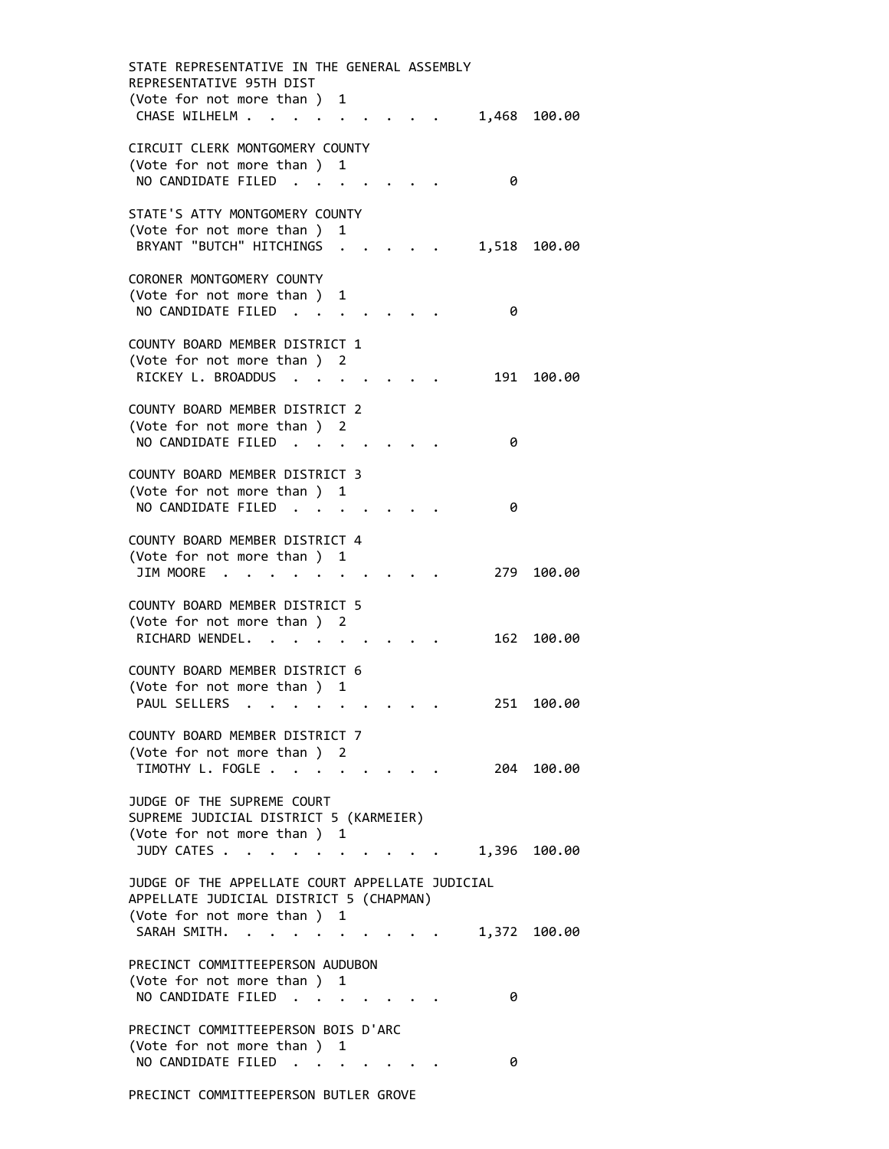STATE REPRESENTATIVE IN THE GENERAL ASSEMBLY REPRESENTATIVE 95TH DIST (Vote for not more than ) 1 CHASE WILHELM . . . . . . . . . 1,468 100.00 CIRCUIT CLERK MONTGOMERY COUNTY (Vote for not more than ) 1 NO CANDIDATE FILED . . . . . . . 0 STATE'S ATTY MONTGOMERY COUNTY (Vote for not more than ) 1 BRYANT "BUTCH" HITCHINGS . . . . . 1,518 100.00 CORONER MONTGOMERY COUNTY (Vote for not more than ) 1 NO CANDIDATE FILED . . . . . . . 0 COUNTY BOARD MEMBER DISTRICT 1 (Vote for not more than ) 2 RICKEY L. BROADDUS . . . . . . . 191 100.00 COUNTY BOARD MEMBER DISTRICT 2 (Vote for not more than ) 2 NO CANDIDATE FILED . . . . . . . 0 COUNTY BOARD MEMBER DISTRICT 3 (Vote for not more than ) 1 NO CANDIDATE FILED . . . . . . . 0 COUNTY BOARD MEMBER DISTRICT 4 (Vote for not more than ) 1 JIM MOORE . . . . . . . . . . 279 100.00 COUNTY BOARD MEMBER DISTRICT 5 (Vote for not more than ) 2 RICHARD WENDEL. . . . . . . . . 162 100.00 COUNTY BOARD MEMBER DISTRICT 6 (Vote for not more than ) 1 PAUL SELLERS . . . . . . . . . 251 100.00 COUNTY BOARD MEMBER DISTRICT 7 (Vote for not more than ) 2 TIMOTHY L. FOGLE . . . . . . . . . 204 100.00 JUDGE OF THE SUPREME COURT SUPREME JUDICIAL DISTRICT 5 (KARMEIER) (Vote for not more than ) 1 JUDY CATES . . . . . . . . . . . 1,396 100.00 JUDGE OF THE APPELLATE COURT APPELLATE JUDICIAL APPELLATE JUDICIAL DISTRICT 5 (CHAPMAN) (Vote for not more than ) 1 SARAH SMITH. . . . . . . . . . 1,372 100.00 PRECINCT COMMITTEEPERSON AUDUBON (Vote for not more than ) 1 NO CANDIDATE FILED . . . . . . . 0 PRECINCT COMMITTEEPERSON BOIS D'ARC (Vote for not more than ) 1 NO CANDIDATE FILED . . . . . . . 0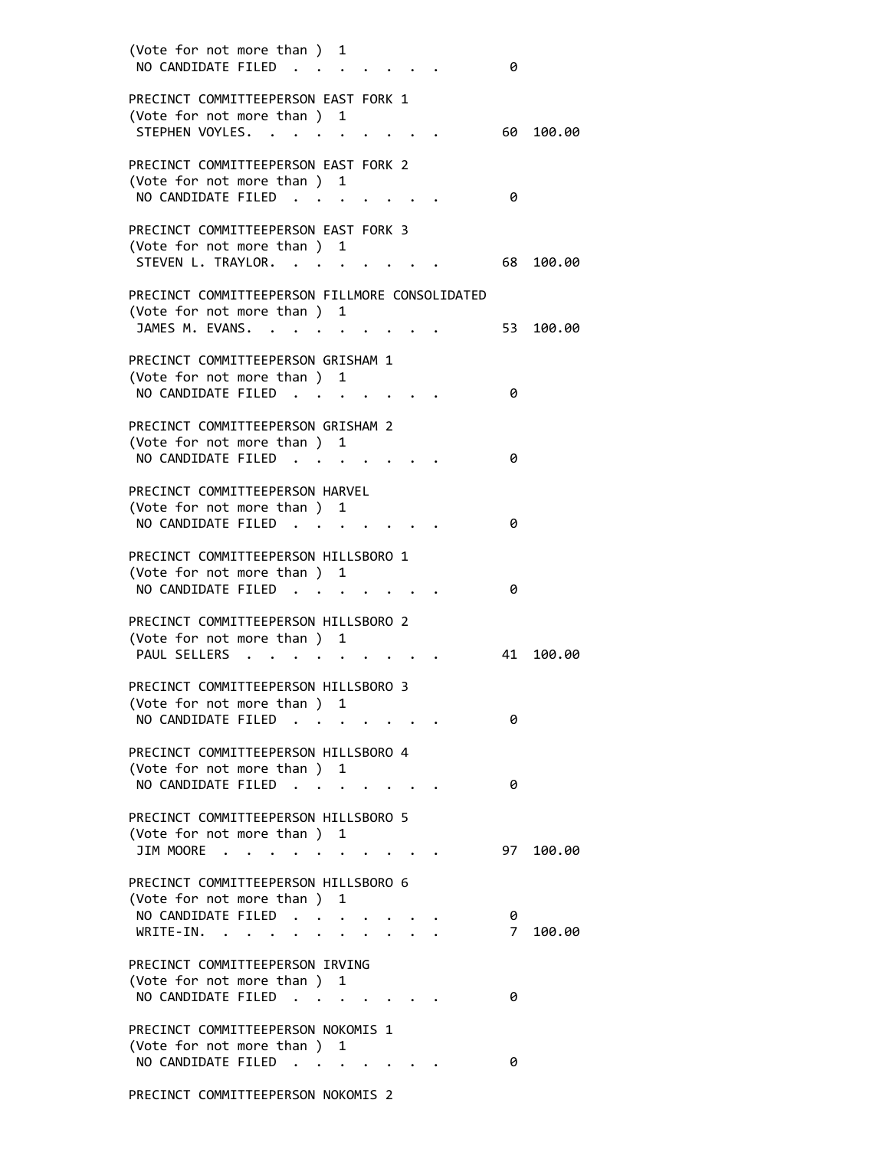| (Vote for not more than ) 1<br>NO CANDIDATE FILED                                               |                                    |                                                             |  | 0      |           |
|-------------------------------------------------------------------------------------------------|------------------------------------|-------------------------------------------------------------|--|--------|-----------|
| PRECINCT COMMITTEEPERSON EAST FORK 1<br>(Vote for not more than ) 1<br>STEPHEN VOYLES.          |                                    |                                                             |  | 60 L   | 100.00    |
| PRECINCT COMMITTEEPERSON EAST FORK 2<br>(Vote for not more than ) 1<br>NO CANDIDATE FILED.      |                                    |                                                             |  | 0      |           |
| PRECINCT COMMITTEEPERSON EAST FORK 3<br>(Vote for not more than ) 1<br>STEVEN L. TRAYLOR.       |                                    |                                                             |  | 68 -   | 100.00    |
| PRECINCT COMMITTEEPERSON FILLMORE CONSOLIDATED<br>(Vote for not more than) 1<br>JAMES M. EVANS. |                                    |                                                             |  |        | 53 100.00 |
| PRECINCT COMMITTEEPERSON GRISHAM 1<br>(Vote for not more than ) 1<br>NO CANDIDATE FILED         | $\ddot{\phantom{1}}$               | $\mathcal{L}(\mathbf{z})$ and $\mathcal{L}(\mathbf{z})$ .   |  | 0      |           |
| PRECINCT COMMITTEEPERSON GRISHAM 2<br>(Vote for not more than ) 1<br>NO CANDIDATE FILED.        |                                    |                                                             |  | 0      |           |
| PRECINCT COMMITTEEPERSON HARVEL<br>(Vote for not more than ) 1<br>NO CANDIDATE FILED            |                                    |                                                             |  | 0      |           |
| PRECINCT COMMITTEEPERSON HILLSBORO 1<br>(Vote for not more than ) 1<br>NO CANDIDATE FILED       |                                    |                                                             |  | 0      |           |
| PRECINCT COMMITTEEPERSON HILLSBORO 2<br>(Vote for not more than) 1                              |                                    |                                                             |  |        |           |
| PAUL SELLERS<br>PRECINCT COMMITTEEPERSON HILLSBORO 3<br>(Vote for not more than ) 1             | $\sim$ $\sim$ $\sim$ $\sim$ $\sim$ |                                                             |  | 41     | 100.00    |
| NO CANDIDATE FILED<br>PRECINCT COMMITTEEPERSON HILLSBORO 4<br>(Vote for not more than ) 1       |                                    |                                                             |  | 0      |           |
| NO CANDIDATE FILED<br>PRECINCT COMMITTEEPERSON HILLSBORO 5                                      | $\ddot{\phantom{1}}$               | $\mathcal{L}(\mathcal{A})$ , and $\mathcal{L}(\mathcal{A})$ |  | 0      |           |
| (Vote for not more than ) 1<br>JIM MOORE<br>$\sim$<br>PRECINCT COMMITTEEPERSON HILLSBORO 6      |                                    |                                                             |  | 97     | 100.00    |
| (Vote for not more than )<br>NO CANDIDATE FILED.<br>WRITE-IN.                                   |                                    | 1                                                           |  | 0<br>7 | 100.00    |
| PRECINCT COMMITTEEPERSON IRVING<br>(Vote for not more than ) 1<br>NO CANDIDATE FILED            |                                    |                                                             |  | 0      |           |
| PRECINCT COMMITTEEPERSON NOKOMIS 1<br>(Vote for not more than ) 1<br>NO CANDIDATE FILED.        |                                    | <b>Contract Contract Contract Contract</b>                  |  | 0      |           |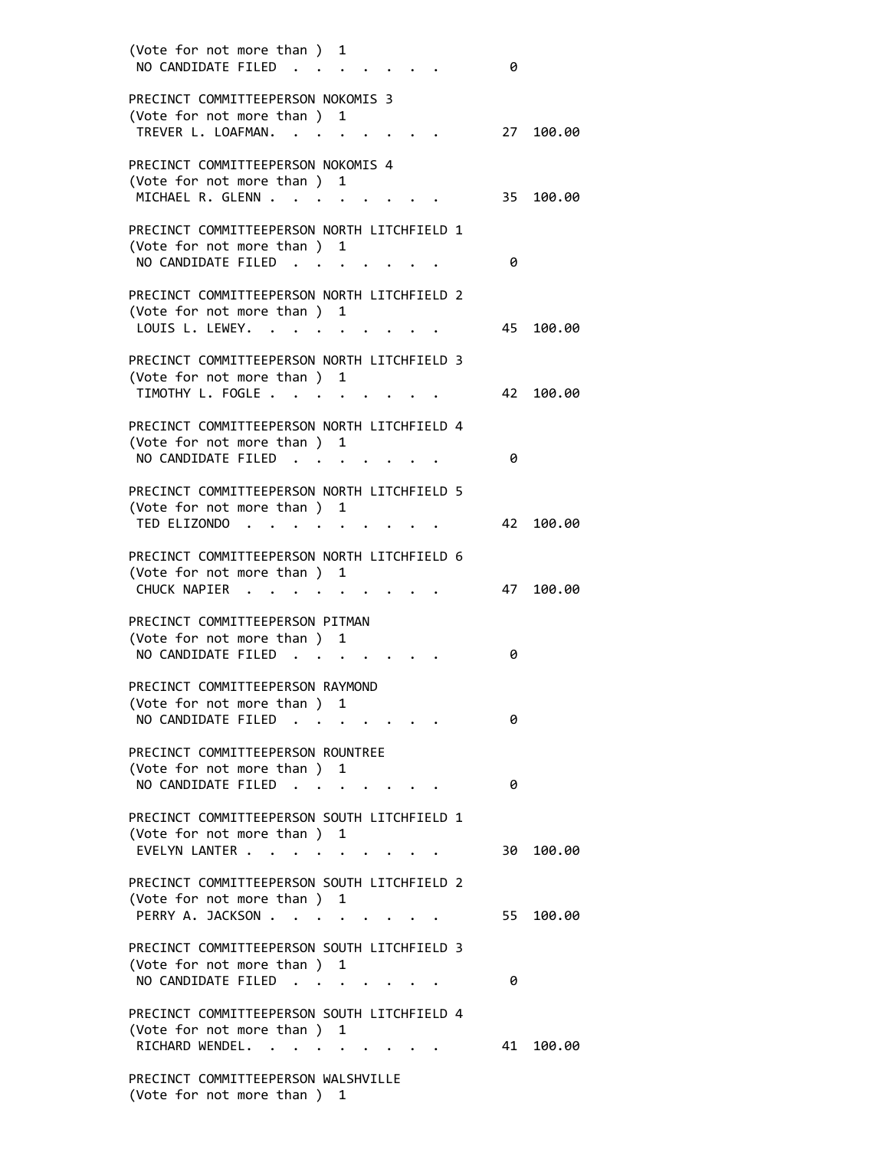| (Vote for not more than ) 1<br>NO CANDIDATE FILED                                                                                                                    | 0  |        |
|----------------------------------------------------------------------------------------------------------------------------------------------------------------------|----|--------|
| PRECINCT COMMITTEEPERSON NOKOMIS 3<br>(Vote for not more than ) 1<br>TREVER L. LOAFMAN.                                                                              | 27 | 100.00 |
| PRECINCT COMMITTEEPERSON NOKOMIS 4<br>(Vote for not more than )<br>1<br>MICHAEL R. GLENN .                                                                           | 35 | 100.00 |
| PRECINCT COMMITTEEPERSON NORTH LITCHFIELD 1<br>(Vote for not more than ) 1<br>NO CANDIDATE FILED                                                                     | 0  |        |
| PRECINCT COMMITTEEPERSON NORTH LITCHFIELD 2<br>(Vote for not more than ) 1<br>LOUIS L. LEWEY.                                                                        | 45 | 100.00 |
| PRECINCT COMMITTEEPERSON NORTH LITCHFIELD 3<br>(Vote for not more than ) 1<br>TIMOTHY L. FOGLE.<br>$\sim$ $\sim$ $\sim$ $\sim$ $\sim$                                | 42 | 100.00 |
| PRECINCT COMMITTEEPERSON NORTH LITCHFIELD 4<br>(Vote for not more than )<br>1<br>NO CANDIDATE FILED                                                                  | 0  |        |
| PRECINCT COMMITTEEPERSON NORTH LITCHFIELD 5<br>(Vote for not more than ) 1<br>TED ELIZONDO<br>$\ddot{\phantom{1}}$<br>$\mathbf{r}$ and $\mathbf{r}$ and $\mathbf{r}$ | 42 | 100.00 |
| PRECINCT COMMITTEEPERSON NORTH LITCHFIELD 6<br>(Vote for not more than ) 1<br>CHUCK NAPIER                                                                           | 47 | 100.00 |
| PRECINCT COMMITTEEPERSON PITMAN<br>(Vote for not more than ) 1<br>NO CANDIDATE FILED<br>$\sim$<br>$\mathbf{r}$ , $\mathbf{r}$ , $\mathbf{r}$                         | 0  |        |
| PRECINCT COMMITTEEPERSON RAYMOND<br>(Vote for not more than)<br>1<br>NO CANDIDATE FILED                                                                              | 0  |        |
| PRECINCT COMMITTEEPERSON ROUNTREE<br>(Vote for not more than ) 1<br>NO CANDIDATE FILED<br>$\ddot{\phantom{a}}$<br><b><i>Contract Contract States</i></b>             | 0  |        |
| PRECINCT COMMITTEEPERSON SOUTH LITCHFIELD 1<br>(Vote for not more than ) 1<br>EVELYN LANTER                                                                          | 30 | 100.00 |
| PRECINCT COMMITTEEPERSON SOUTH LITCHFIELD 2<br>(Vote for not more than ) 1<br>PERRY A. JACKSON                                                                       | 55 | 100.00 |
| PRECINCT COMMITTEEPERSON SOUTH LITCHFIELD 3<br>(Vote for not more than ) 1<br>NO CANDIDATE FILED                                                                     | 0  |        |
| PRECINCT COMMITTEEPERSON SOUTH LITCHFIELD 4<br>(Vote for not more than ) 1                                                                                           |    |        |
| RICHARD WENDEL.<br>$\cdot$ $\cdot$ $\cdot$ $\cdot$ $\cdot$ $\cdot$<br>PRECINCT COMMITTEEPERSON WALSHVILLE<br>(Vote for not more than )<br>1                          | 41 | 100.00 |